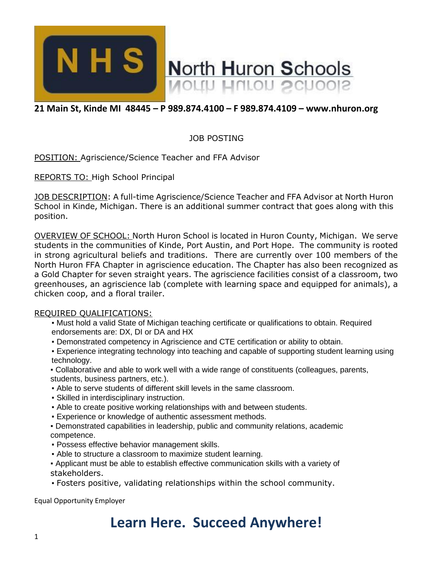

## **21 Main St, Kinde MI 48445 – P 989.874.4100 – F 989.874.4109 – www.nhuron.org**

### JOB POSTING

POSITION: Agriscience/Science Teacher and FFA Advisor

REPORTS TO: High School Principal

JOB DESCRIPTION: A full-time Agriscience/Science Teacher and FFA Advisor at North Huron School in Kinde, Michigan. There is an additional summer contract that goes along with this position.

OVERVIEW OF SCHOOL: North Huron School is located in Huron County, Michigan. We serve students in the communities of Kinde, Port Austin, and Port Hope. The community is rooted in strong agricultural beliefs and traditions. There are currently over 100 members of the North Huron FFA Chapter in agriscience education. The Chapter has also been recognized as a Gold Chapter for seven straight years. The agriscience facilities consist of a classroom, two greenhouses, an agriscience lab (complete with learning space and equipped for animals), a chicken coop, and a floral trailer.

#### REQUIRED QUALIFICATIONS:

- . Must hold a valid State of Michigan teaching certificate or qualifications to obtain. Required endorsements are: DX, DI or DA and HX
- Demonstrated competency in Agriscience and CTE certification or ability to obtain.
- Experience integrating technology into teaching and capable of supporting student learning using technology.
- Collaborative and able to work well with a wide range of constituents (colleagues, parents, students, business partners, etc.).
- Able to serve students of different skill levels in the same classroom.
- Skilled in interdisciplinary instruction.
- . Able to create positive working relationships with and between students.
- Experience or knowledge of authentic assessment methods.
- Demonstrated capabilities in leadership, public and community relations, academic competence.
- Possess effective behavior management skills.
- Able to structure a classroom to maximize student learning.
- Applicant must be able to establish effective communication skills with a variety of stakeholders.
- Fosters positive, validating relationships within the school community.

Equal Opportunity Employer

# **Learn Here. Succeed Anywhere!**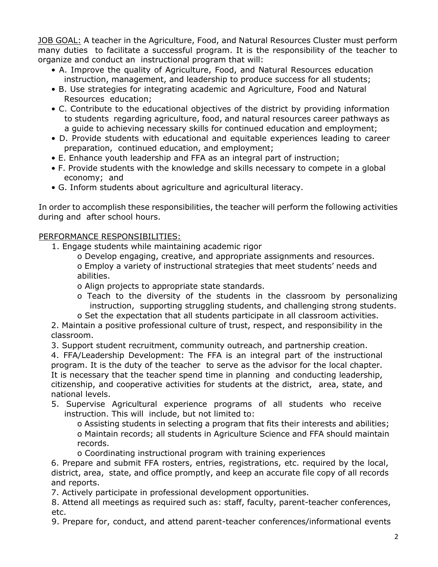JOB GOAL: A teacher in the Agriculture, Food, and Natural Resources Cluster must perform many duties to facilitate a successful program. It is the responsibility of the teacher to organize and conduct an instructional program that will:

- A. Improve the quality of Agriculture, Food, and Natural Resources education instruction, management, and leadership to produce success for all students;
- B. Use strategies for integrating academic and Agriculture, Food and Natural Resources education;
- C. Contribute to the educational objectives of the district by providing information to students regarding agriculture, food, and natural resources career pathways as a guide to achieving necessary skills for continued education and employment;
- D. Provide students with educational and equitable experiences leading to career preparation, continued education, and employment;
- E. Enhance youth leadership and FFA as an integral part of instruction;
- F. Provide students with the knowledge and skills necessary to compete in a global economy; and
- G. Inform students about agriculture and agricultural literacy.

In order to accomplish these responsibilities, the teacher will perform the following activities during and after school hours.

### PERFORMANCE RESPONSIBILITIES:

1. Engage students while maintaining academic rigor

o Develop engaging, creative, and appropriate assignments and resources. o Employ a variety of instructional strategies that meet students' needs and abilities.

o Align projects to appropriate state standards.

o Teach to the diversity of the students in the classroom by personalizing instruction, supporting struggling students, and challenging strong students. o Set the expectation that all students participate in all classroom activities.

2. Maintain a positive professional culture of trust, respect, and responsibility in the classroom.

3. Support student recruitment, community outreach, and partnership creation.

4. FFA/Leadership Development: The FFA is an integral part of the instructional program. It is the duty of the teacher to serve as the advisor for the local chapter. It is necessary that the teacher spend time in planning and conducting leadership, citizenship, and cooperative activities for students at the district, area, state, and national levels.

5. Supervise Agricultural experience programs of all students who receive instruction. This will include, but not limited to:

o Assisting students in selecting a program that fits their interests and abilities; o Maintain records; all students in Agriculture Science and FFA should maintain records.

o Coordinating instructional program with training experiences

6. Prepare and submit FFA rosters, entries, registrations, etc. required by the local, district, area, state, and office promptly, and keep an accurate file copy of all records and reports.

7. Actively participate in professional development opportunities.

8. Attend all meetings as required such as: staff, faculty, parent-teacher conferences, etc.

9. Prepare for, conduct, and attend parent-teacher conferences/informational events